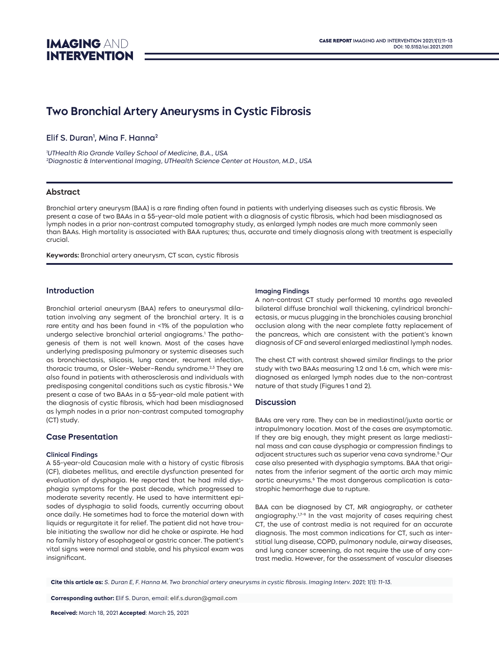# **Two Bronchial Artery Aneurysms in Cystic Fibrosis**

Elif S. Duran<sup>1</sup>, Mina F. Hanna<del>'</del>

1 UTHealth Rio Grande Valley School of Medicine, B.A., USA 2 Diagnostic & Interventional Imaging, UTHealth Science Center at Houston, M.D., USA

## **Abstract**

Bronchial artery aneurysm (BAA) is a rare finding often found in patients with underlying diseases such as cystic fibrosis. We present a case of two BAAs in a 55-year-old male patient with a diagnosis of cystic fibrosis, which had been misdiagnosed as lymph nodes in a prior non-contrast computed tomography study, as enlarged lymph nodes are much more commonly seen than BAAs. High mortality is associated with BAA ruptures; thus, accurate and timely diagnosis along with treatment is especially crucial.

**Keywords:** Bronchial artery aneurysm, CT scan, cystic fibrosis

## **Introduction**

Bronchial arterial aneurysm (BAA) refers to aneurysmal dilatation involving any segment of the bronchial artery. It is a rare entity and has been found in <1% of the population who undergo selective bronchial arterial angiograms.1 The pathogenesis of them is not well known. Most of the cases have underlying predisposing pulmonary or systemic diseases such as bronchiectasis, silicosis, lung cancer, recurrent infection, thoracic trauma, or Osler-Weber-Rendu syndrome.<sup>2,3</sup> They are also found in patients with atherosclerosis and individuals with predisposing congenital conditions such as cystic fibrosis.<sup>4</sup> We present a case of two BAAs in a 55-year-old male patient with the diagnosis of cystic fibrosis, which had been misdiagnosed as lymph nodes in a prior non-contrast computed tomography (CT) study.

## **Case Presentation**

#### **Clinical Findings**

A 55-year-old Caucasian male with a history of cystic fibrosis (CF), diabetes mellitus, and erectile dysfunction presented for evaluation of dysphagia. He reported that he had mild dysphagia symptoms for the past decade, which progressed to moderate severity recently. He used to have intermittent episodes of dysphagia to solid foods, currently occurring about once daily. He sometimes had to force the material down with liquids or regurgitate it for relief. The patient did not have trouble initiating the swallow nor did he choke or aspirate. He had no family history of esophageal or gastric cancer. The patient's vital signs were normal and stable, and his physical exam was insignificant.

#### **Imaging Findings**

A non-contrast CT study performed 10 months ago revealed bilateral diffuse bronchial wall thickening, cylindrical bronchiectasis, or mucus plugging in the bronchioles causing bronchial occlusion along with the near complete fatty replacement of the pancreas, which are consistent with the patient's known diagnosis of CF and several enlarged mediastinal lymph nodes.

The chest CT with contrast showed similar findings to the prior study with two BAAs measuring 1.2 and 1.6 cm, which were misdiagnosed as enlarged lymph nodes due to the non-contrast nature of that study (Figures 1 and 2).

### **Discussion**

BAAs are very rare. They can be in mediastinal/juxta aortic or intrapulmonary location. Most of the cases are asymptomatic. If they are big enough, they might present as large mediastinal mass and can cause dysphagia or compression findings to adjacent structures such as superior vena cava syndrome.5 Our case also presented with dysphagia symptoms. BAA that originates from the inferior segment of the aortic arch may mimic aortic aneurysms.6 The most dangerous complication is catastrophic hemorrhage due to rupture.

BAA can be diagnosed by CT, MR angiography, or catheter angiography.<sup>1,7-9</sup> In the vast majority of cases requiring chest CT, the use of contrast media is not required for an accurate diagnosis. The most common indications for CT, such as interstitial lung disease, COPD, pulmonary nodule, airway diseases, and lung cancer screening, do not require the use of any contrast media. However, for the assessment of vascular diseases

**Cite this article as:** S. Duran E, F. Hanna M. Two bronchial artery aneurysms in cystic fibrosis. Imaging Interv. 2021; 1(1): 11-13.

**Corresponding author:** Elif S. Duran, email: [elif.s.duran@gmail.com](mailto:elif.s.duran@gmail.com)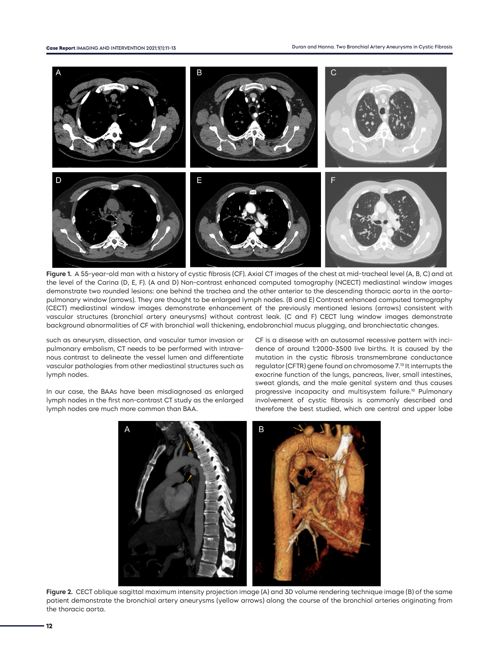

**Figure 1.** A 55-year-old man with a history of cystic fibrosis (CF). Axial CT images of the chest at mid-tracheal level (A, B, C) and at the level of the Carina (D, E, F). (A and D) Non-contrast enhanced computed tomography (NCECT) mediastinal window images demonstrate two rounded lesions: one behind the trachea and the other anterior to the descending thoracic aorta in the aortopulmonary window (arrows). They are thought to be enlarged lymph nodes. (B and E) Contrast enhanced computed tomography (CECT) mediastinal window images demonstrate enhancement of the previously mentioned lesions (arrows) consistent with vascular structures (bronchial artery aneurysms) without contrast leak. (C and F) CECT lung window images demonstrate background abnormalities of CF with bronchial wall thickening, endobronchial mucus plugging, and bronchiectatic changes.

such as aneurysm, dissection, and vascular tumor invasion or pulmonary embolism, CT needs to be performed with intravenous contrast to delineate the vessel lumen and differentiate vascular pathologies from other mediastinal structures such as lymph nodes.

In our case, the BAAs have been misdiagnosed as enlarged lymph nodes in the first non-contrast CT study as the enlarged lymph nodes are much more common than BAA.

CF is a disease with an autosomal recessive pattern with incidence of around 1:2000-3500 live births. It is caused by the mutation in the cystic fibrosis transmembrane conductance regulator (CFTR) gene found on chromosome 7.10 It interrupts the exocrine function of the lungs, pancreas, liver, small intestines, sweat glands, and the male genital system and thus causes progressive incapacity and multisystem failure.10 Pulmonary involvement of cystic fibrosis is commonly described and therefore the best studied, which are central and upper lobe



**Figure 2.** CECT oblique sagittal maximum intensity projection image (A) and 3D volume rendering technique image (B) of the same patient demonstrate the bronchial artery aneurysms (yellow arrows) along the course of the bronchial arteries originating from the thoracic aorta.